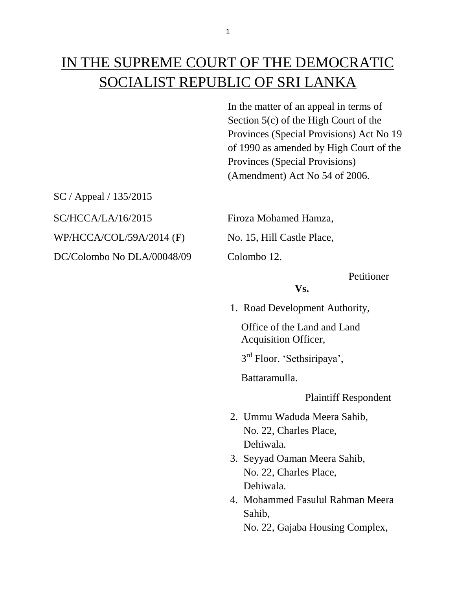# IN THE SUPREME COURT OF THE DEMOCRATIC SOCIALIST REPUBLIC OF SRI LANKA

In the matter of an appeal in terms of Section 5(c) of the High Court of the Provinces (Special Provisions) Act No 19 of 1990 as amended by High Court of the Provinces (Special Provisions) (Amendment) Act No 54 of 2006.

SC / Appeal / 135/2015 SC/HCCA/LA/16/2015 Firoza Mohamed Hamza,

WP/HCCA/COL/59A/2014 (F) No. 15, Hill Castle Place,

DC/Colombo No DLA/00048/09 Colombo 12.

Petitioner

## **Vs.**

1. Road Development Authority,

 Office of the Land and Land Acquisition Officer,

3 rd Floor. 'Sethsiripaya',

Battaramulla.

Plaintiff Respondent

- 2. Ummu Waduda Meera Sahib, No. 22, Charles Place, Dehiwala.
- 3. Seyyad Oaman Meera Sahib, No. 22, Charles Place, Dehiwala.
- 4. Mohammed Fasulul Rahman Meera Sahib,

No. 22, Gajaba Housing Complex,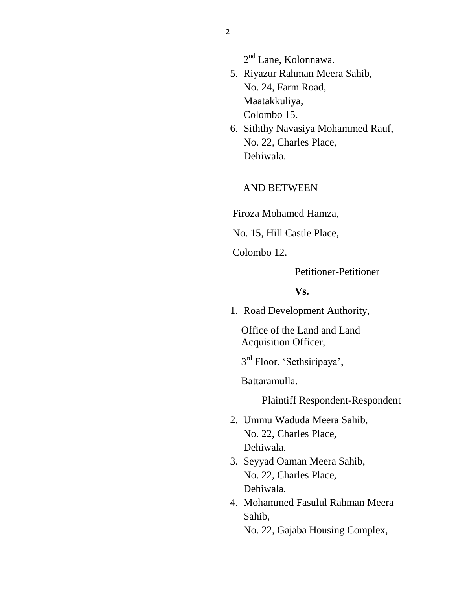2<sup>nd</sup> Lane, Kolonnawa.

- 5. Riyazur Rahman Meera Sahib, No. 24, Farm Road, Maatakkuliya, Colombo 15.
- 6. Siththy Navasiya Mohammed Rauf, No. 22, Charles Place, Dehiwala.

#### AND BETWEEN

Firoza Mohamed Hamza,

No. 15, Hill Castle Place,

Colombo 12.

Petitioner-Petitioner

#### **Vs.**

1. Road Development Authority,

 Office of the Land and Land Acquisition Officer,

3 rd Floor. 'Sethsiripaya',

Battaramulla.

Plaintiff Respondent-Respondent

- 2. Ummu Waduda Meera Sahib, No. 22, Charles Place, Dehiwala.
- 3. Seyyad Oaman Meera Sahib, No. 22, Charles Place, Dehiwala.
- 4. Mohammed Fasulul Rahman Meera Sahib,

No. 22, Gajaba Housing Complex,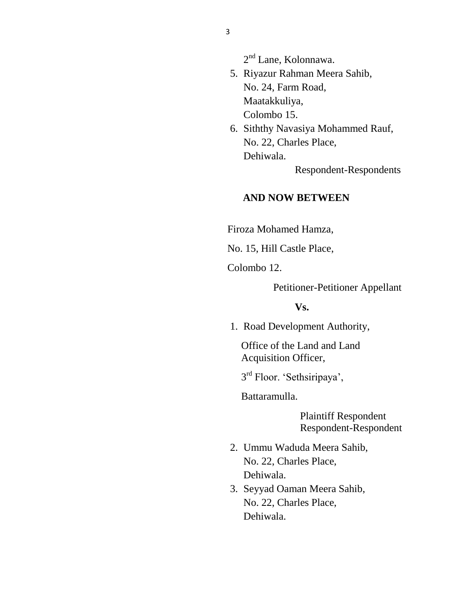2<sup>nd</sup> Lane, Kolonnawa.

- 5. Riyazur Rahman Meera Sahib, No. 24, Farm Road, Maatakkuliya, Colombo 15.
- 6. Siththy Navasiya Mohammed Rauf, No. 22, Charles Place, Dehiwala.

Respondent-Respondents

#### **AND NOW BETWEEN**

Firoza Mohamed Hamza,

No. 15, Hill Castle Place,

Colombo 12.

Petitioner-Petitioner Appellant

**Vs.**

1. Road Development Authority,

 Office of the Land and Land Acquisition Officer,

3 rd Floor. 'Sethsiripaya',

Battaramulla.

 Plaintiff Respondent Respondent-Respondent

- 2. Ummu Waduda Meera Sahib, No. 22, Charles Place, Dehiwala.
- 3. Seyyad Oaman Meera Sahib, No. 22, Charles Place, Dehiwala.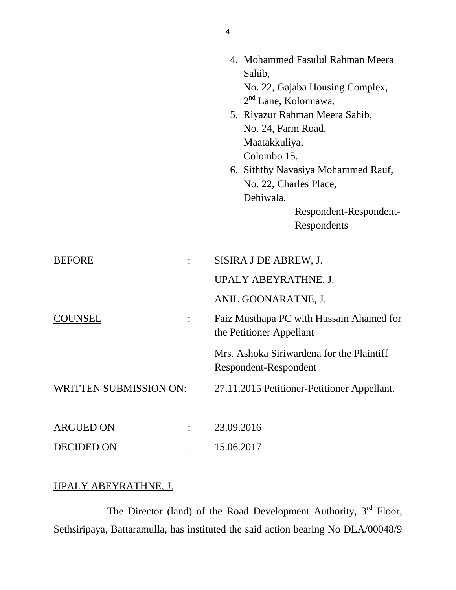|                        |                      | 4. Mohammed Fasulul Rahman Meera<br>Sahib,                           |
|------------------------|----------------------|----------------------------------------------------------------------|
|                        |                      | No. 22, Gajaba Housing Complex,<br>$2nd$ Lane, Kolonnawa.            |
|                        |                      | 5. Riyazur Rahman Meera Sahib,                                       |
|                        |                      | No. 24, Farm Road,                                                   |
|                        |                      | Maatakkuliya,                                                        |
|                        |                      | Colombo 15.                                                          |
|                        |                      | 6. Siththy Navasiya Mohammed Rauf,                                   |
|                        |                      | No. 22, Charles Place,                                               |
|                        |                      | Dehiwala.                                                            |
|                        |                      | Respondent-Respondent-                                               |
|                        |                      | Respondents                                                          |
| <b>BEFORE</b>          |                      | SISIRA J DE ABREW, J.                                                |
|                        |                      | UPALY ABEYRATHNE, J.                                                 |
|                        |                      | ANIL GOONARATNE, J.                                                  |
| <b>COUNSEL</b>         | $\ddot{\phantom{a}}$ | Faiz Musthapa PC with Hussain Ahamed for<br>the Petitioner Appellant |
|                        |                      | Mrs. Ashoka Siriwardena for the Plaintiff<br>Respondent-Respondent   |
| WRITTEN SUBMISSION ON: |                      | 27.11.2015 Petitioner-Petitioner Appellant.                          |
|                        |                      |                                                                      |
| <b>ARGUED ON</b>       |                      | 23.09.2016                                                           |
| <b>DECIDED ON</b>      |                      | 15.06.2017                                                           |

# UPALY ABEYRATHNE, J.

The Director (land) of the Road Development Authority,  $3<sup>rd</sup>$  Floor, Sethsiripaya, Battaramulla, has instituted the said action bearing No DLA/00048/9

4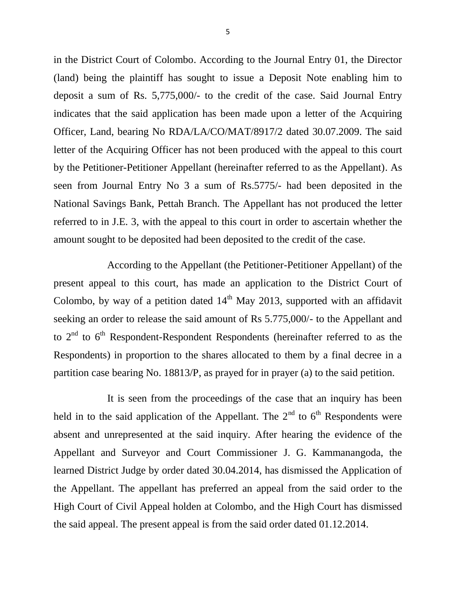in the District Court of Colombo. According to the Journal Entry 01, the Director (land) being the plaintiff has sought to issue a Deposit Note enabling him to deposit a sum of Rs. 5,775,000/- to the credit of the case. Said Journal Entry indicates that the said application has been made upon a letter of the Acquiring Officer, Land, bearing No RDA/LA/CO/MAT/8917/2 dated 30.07.2009. The said letter of the Acquiring Officer has not been produced with the appeal to this court by the Petitioner-Petitioner Appellant (hereinafter referred to as the Appellant). As seen from Journal Entry No 3 a sum of Rs.5775/- had been deposited in the National Savings Bank, Pettah Branch. The Appellant has not produced the letter referred to in J.E. 3, with the appeal to this court in order to ascertain whether the amount sought to be deposited had been deposited to the credit of the case.

According to the Appellant (the Petitioner-Petitioner Appellant) of the present appeal to this court, has made an application to the District Court of Colombo, by way of a petition dated  $14<sup>th</sup>$  May 2013, supported with an affidavit seeking an order to release the said amount of Rs 5.775,000/- to the Appellant and to  $2<sup>nd</sup>$  to  $6<sup>th</sup>$  Respondent-Respondent Respondents (hereinafter referred to as the Respondents) in proportion to the shares allocated to them by a final decree in a partition case bearing No. 18813/P, as prayed for in prayer (a) to the said petition.

It is seen from the proceedings of the case that an inquiry has been held in to the said application of the Appellant. The  $2<sup>nd</sup>$  to  $6<sup>th</sup>$  Respondents were absent and unrepresented at the said inquiry. After hearing the evidence of the Appellant and Surveyor and Court Commissioner J. G. Kammanangoda, the learned District Judge by order dated 30.04.2014, has dismissed the Application of the Appellant. The appellant has preferred an appeal from the said order to the High Court of Civil Appeal holden at Colombo, and the High Court has dismissed the said appeal. The present appeal is from the said order dated 01.12.2014.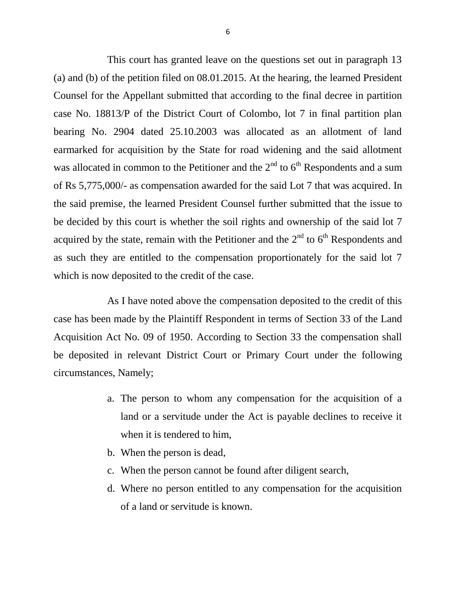This court has granted leave on the questions set out in paragraph 13 (a) and (b) of the petition filed on 08.01.2015. At the hearing, the learned President Counsel for the Appellant submitted that according to the final decree in partition case No. 18813/P of the District Court of Colombo, lot 7 in final partition plan bearing No. 2904 dated 25.10.2003 was allocated as an allotment of land earmarked for acquisition by the State for road widening and the said allotment was allocated in common to the Petitioner and the  $2<sup>nd</sup>$  to  $6<sup>th</sup>$  Respondents and a sum of Rs 5,775,000/- as compensation awarded for the said Lot 7 that was acquired. In the said premise, the learned President Counsel further submitted that the issue to be decided by this court is whether the soil rights and ownership of the said lot 7 acquired by the state, remain with the Petitioner and the  $2<sup>nd</sup>$  to  $6<sup>th</sup>$  Respondents and as such they are entitled to the compensation proportionately for the said lot 7 which is now deposited to the credit of the case.

As I have noted above the compensation deposited to the credit of this case has been made by the Plaintiff Respondent in terms of Section 33 of the Land Acquisition Act No. 09 of 1950. According to Section 33 the compensation shall be deposited in relevant District Court or Primary Court under the following circumstances, Namely;

- a. The person to whom any compensation for the acquisition of a land or a servitude under the Act is payable declines to receive it when it is tendered to him,
- b. When the person is dead,
- c. When the person cannot be found after diligent search,
- d. Where no person entitled to any compensation for the acquisition of a land or servitude is known.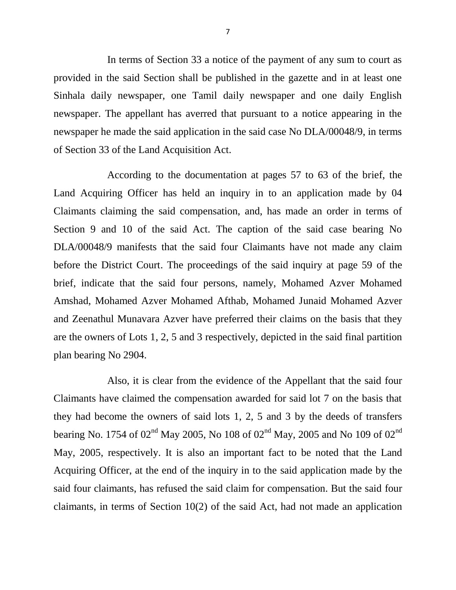In terms of Section 33 a notice of the payment of any sum to court as provided in the said Section shall be published in the gazette and in at least one Sinhala daily newspaper, one Tamil daily newspaper and one daily English newspaper. The appellant has averred that pursuant to a notice appearing in the newspaper he made the said application in the said case No DLA/00048/9, in terms of Section 33 of the Land Acquisition Act.

According to the documentation at pages 57 to 63 of the brief, the Land Acquiring Officer has held an inquiry in to an application made by 04 Claimants claiming the said compensation, and, has made an order in terms of Section 9 and 10 of the said Act. The caption of the said case bearing No DLA/00048/9 manifests that the said four Claimants have not made any claim before the District Court. The proceedings of the said inquiry at page 59 of the brief, indicate that the said four persons, namely, Mohamed Azver Mohamed Amshad, Mohamed Azver Mohamed Afthab, Mohamed Junaid Mohamed Azver and Zeenathul Munavara Azver have preferred their claims on the basis that they are the owners of Lots 1, 2, 5 and 3 respectively, depicted in the said final partition plan bearing No 2904.

Also, it is clear from the evidence of the Appellant that the said four Claimants have claimed the compensation awarded for said lot 7 on the basis that they had become the owners of said lots 1, 2, 5 and 3 by the deeds of transfers bearing No. 1754 of  $02^{nd}$  May 2005, No 108 of  $02^{nd}$  May, 2005 and No 109 of  $02^{nd}$ May, 2005, respectively. It is also an important fact to be noted that the Land Acquiring Officer, at the end of the inquiry in to the said application made by the said four claimants, has refused the said claim for compensation. But the said four claimants, in terms of Section 10(2) of the said Act, had not made an application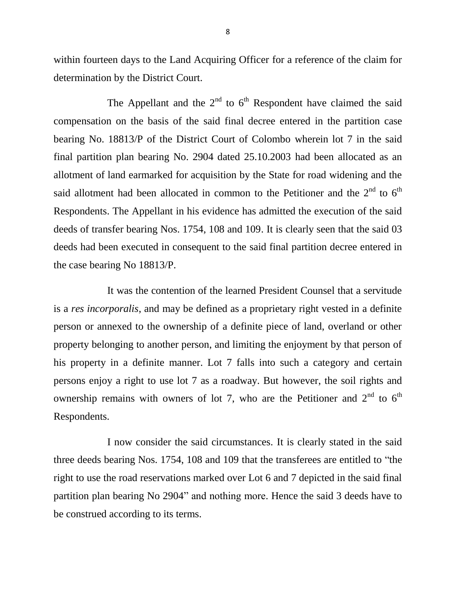within fourteen days to the Land Acquiring Officer for a reference of the claim for determination by the District Court.

The Appellant and the  $2<sup>nd</sup>$  to  $6<sup>th</sup>$  Respondent have claimed the said compensation on the basis of the said final decree entered in the partition case bearing No. 18813/P of the District Court of Colombo wherein lot 7 in the said final partition plan bearing No. 2904 dated 25.10.2003 had been allocated as an allotment of land earmarked for acquisition by the State for road widening and the said allotment had been allocated in common to the Petitioner and the  $2<sup>nd</sup>$  to  $6<sup>th</sup>$ Respondents. The Appellant in his evidence has admitted the execution of the said deeds of transfer bearing Nos. 1754, 108 and 109. It is clearly seen that the said 03 deeds had been executed in consequent to the said final partition decree entered in the case bearing No 18813/P.

It was the contention of the learned President Counsel that a servitude is a *res incorporalis*, and may be defined as a proprietary right vested in a definite person or annexed to the ownership of a definite piece of land, overland or other property belonging to another person, and limiting the enjoyment by that person of his property in a definite manner. Lot 7 falls into such a category and certain persons enjoy a right to use lot 7 as a roadway. But however, the soil rights and ownership remains with owners of lot 7, who are the Petitioner and  $2<sup>nd</sup>$  to  $6<sup>th</sup>$ Respondents.

I now consider the said circumstances. It is clearly stated in the said three deeds bearing Nos. 1754, 108 and 109 that the transferees are entitled to "the right to use the road reservations marked over Lot 6 and 7 depicted in the said final partition plan bearing No 2904" and nothing more. Hence the said 3 deeds have to be construed according to its terms.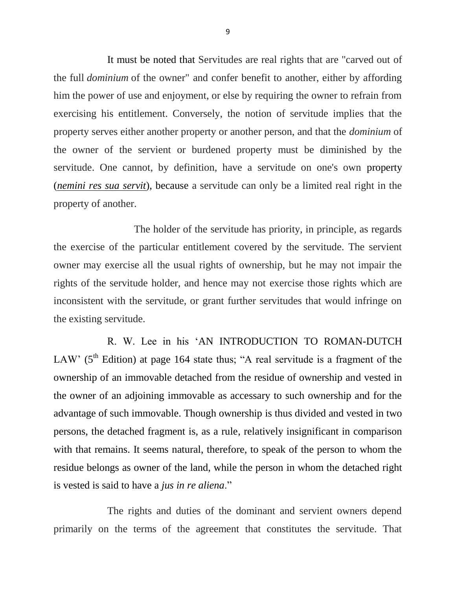It must be noted that Servitudes are real rights that are "carved out of the full *dominium* of the owner" and confer benefit to another, either by affording him the power of use and enjoyment, or else by requiring the owner to refrain from exercising his entitlement. Conversely, the notion of servitude implies that the property serves either another property or another person, and that the *dominium* of the owner of the servient or burdened property must be diminished by the servitude. One cannot, by definition, have a servitude on one's own property (*[nemini res sua servit](https://en.wikipedia.org/w/index.php?title=Nemini_res_sua_servit&action=edit&redlink=1)*), because a servitude can only be a limited real right in the property of another.

The holder of the servitude has priority, in principle, as regards the exercise of the particular entitlement covered by the servitude. The servient owner may exercise all the usual rights of ownership, but he may not impair the rights of the servitude holder, and hence may not exercise those rights which are inconsistent with the servitude, or grant further servitudes that would infringe on the existing servitude.

R. W. Lee in his 'AN INTRODUCTION TO ROMAN-DUTCH LAW' ( $5<sup>th</sup>$  Edition) at page 164 state thus; "A real servitude is a fragment of the ownership of an immovable detached from the residue of ownership and vested in the owner of an adjoining immovable as accessary to such ownership and for the advantage of such immovable. Though ownership is thus divided and vested in two persons, the detached fragment is, as a rule, relatively insignificant in comparison with that remains. It seems natural, therefore, to speak of the person to whom the residue belongs as owner of the land, while the person in whom the detached right is vested is said to have a *jus in re aliena*."

The rights and duties of the dominant and servient owners depend primarily on the terms of the agreement that constitutes the servitude. That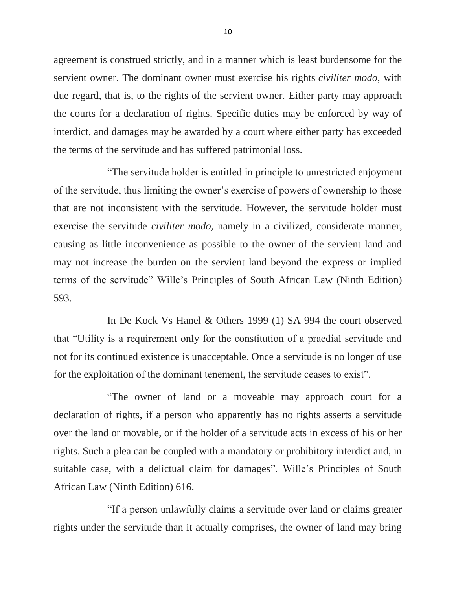agreement is construed strictly, and in a manner which is least burdensome for the servient owner. The dominant owner must exercise his rights *civiliter modo*, with due regard, that is, to the rights of the servient owner. Either party may approach the courts for a declaration of rights. Specific duties may be enforced by way of interdict, and damages may be awarded by a court where either party has exceeded the terms of the servitude and has suffered patrimonial loss.

"The servitude holder is entitled in principle to unrestricted enjoyment of the servitude, thus limiting the owner's exercise of powers of ownership to those that are not inconsistent with the servitude. However, the servitude holder must exercise the servitude *civiliter modo,* namely in a civilized, considerate manner, causing as little inconvenience as possible to the owner of the servient land and may not increase the burden on the servient land beyond the express or implied terms of the servitude" Wille's Principles of South African Law (Ninth Edition) 593.

In De Kock Vs Hanel & Others 1999 (1) SA 994 the court observed that "Utility is a requirement only for the constitution of a praedial servitude and not for its continued existence is unacceptable. Once a servitude is no longer of use for the exploitation of the dominant tenement, the servitude ceases to exist".

"The owner of land or a moveable may approach court for a declaration of rights, if a person who apparently has no rights asserts a servitude over the land or movable, or if the holder of a servitude acts in excess of his or her rights. Such a plea can be coupled with a mandatory or prohibitory interdict and, in suitable case, with a delictual claim for damages". Wille's Principles of South African Law (Ninth Edition) 616.

"If a person unlawfully claims a servitude over land or claims greater rights under the servitude than it actually comprises, the owner of land may bring